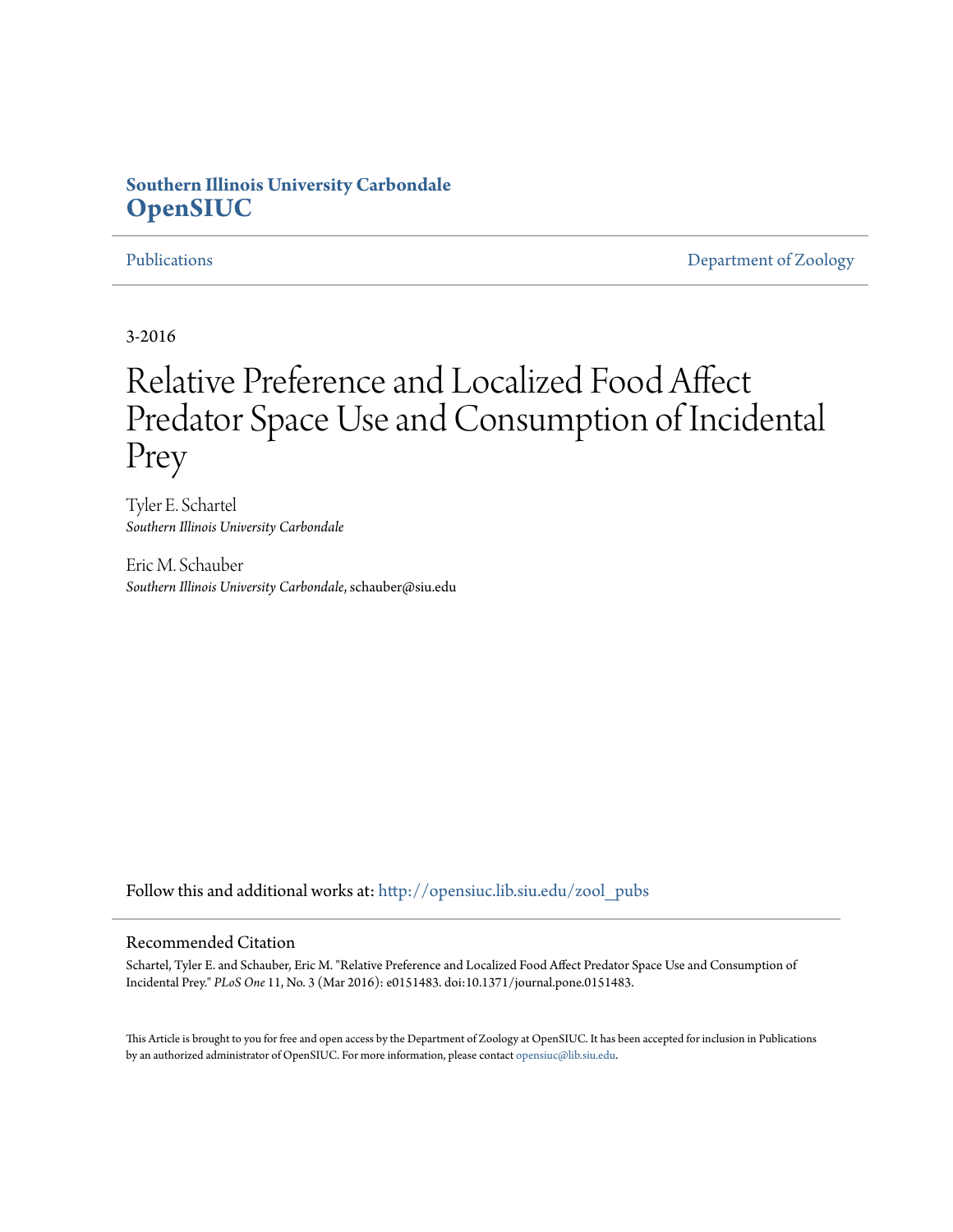## **Southern Illinois University Carbondale [OpenSIUC](http://opensiuc.lib.siu.edu?utm_source=opensiuc.lib.siu.edu%2Fzool_pubs%2F109&utm_medium=PDF&utm_campaign=PDFCoverPages)**

[Publications](http://opensiuc.lib.siu.edu/zool_pubs?utm_source=opensiuc.lib.siu.edu%2Fzool_pubs%2F109&utm_medium=PDF&utm_campaign=PDFCoverPages) **[Department of Zoology](http://opensiuc.lib.siu.edu/zool?utm_source=opensiuc.lib.siu.edu%2Fzool_pubs%2F109&utm_medium=PDF&utm_campaign=PDFCoverPages)** 

3-2016

# Relative Preference and Localized Food Affect Predator Space Use and Consumption of Incidental Prey

Tyler E. Schartel *Southern Illinois University Carbondale*

Eric M. Schauber *Southern Illinois University Carbondale*, schauber@siu.edu

Follow this and additional works at: [http://opensiuc.lib.siu.edu/zool\\_pubs](http://opensiuc.lib.siu.edu/zool_pubs?utm_source=opensiuc.lib.siu.edu%2Fzool_pubs%2F109&utm_medium=PDF&utm_campaign=PDFCoverPages)

#### Recommended Citation

Schartel, Tyler E. and Schauber, Eric M. "Relative Preference and Localized Food Affect Predator Space Use and Consumption of Incidental Prey." *PLoS One* 11, No. 3 (Mar 2016): e0151483. doi:10.1371/journal.pone.0151483.

This Article is brought to you for free and open access by the Department of Zoology at OpenSIUC. It has been accepted for inclusion in Publications by an authorized administrator of OpenSIUC. For more information, please contact [opensiuc@lib.siu.edu.](mailto:opensiuc@lib.siu.edu)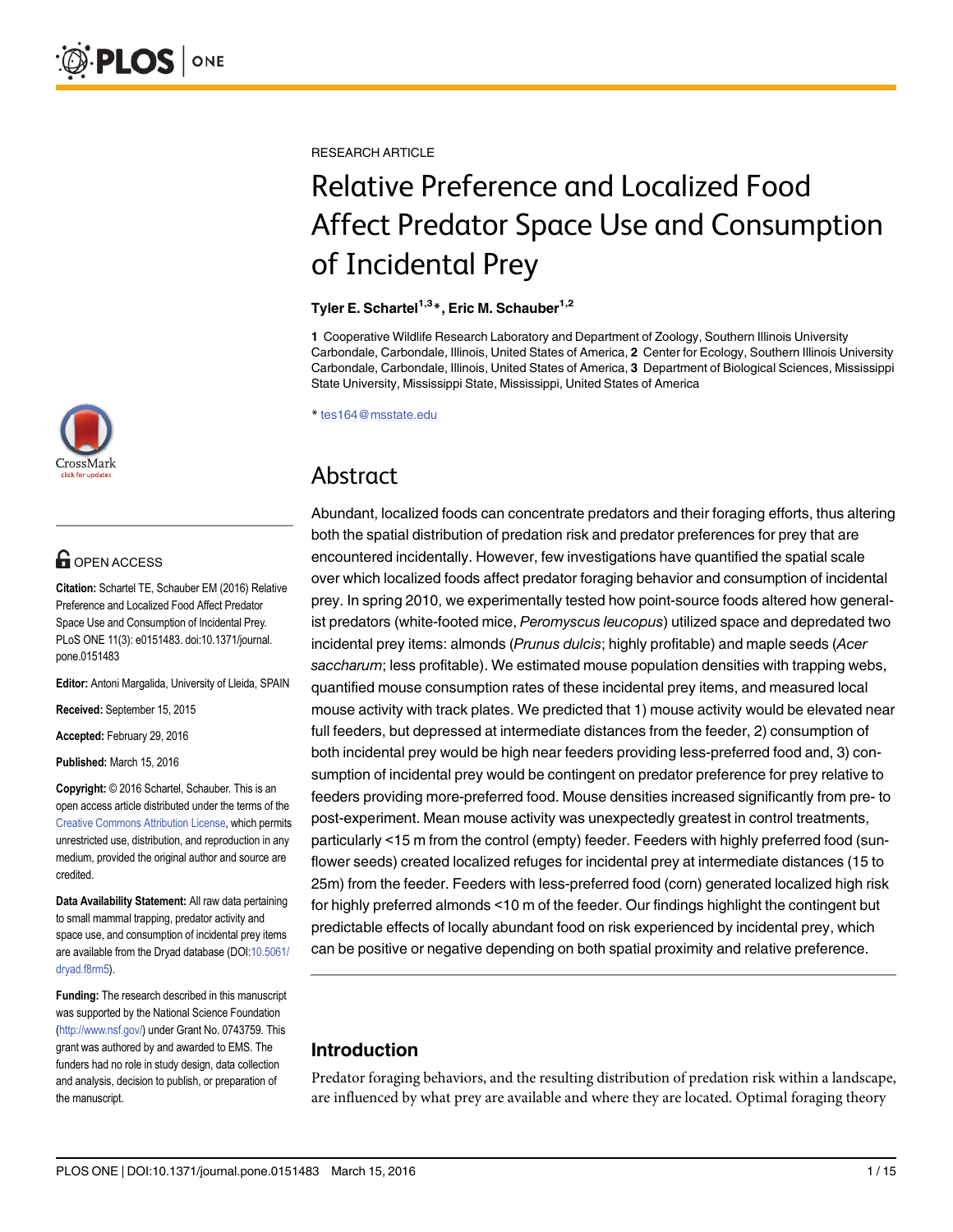

# **OPEN ACCESS**

Citation: Schartel TE, Schauber EM (2016) Relative Preference and Localized Food Affect Predator Space Use and Consumption of Incidental Prey. PLoS ONE 11(3): e0151483. doi:10.1371/journal. pone.0151483

Editor: Antoni Margalida, University of Lleida, SPAIN

Received: September 15, 2015

Accepted: February 29, 2016

Published: March 15, 2016

Copyright: © 2016 Schartel, Schauber. This is an open access article distributed under the terms of the [Creative Commons Attribution License,](http://creativecommons.org/licenses/by/4.0/) which permits unrestricted use, distribution, and reproduction in any medium, provided the original author and source are credited.

Data Availability Statement: All raw data pertaining to small mammal trapping, predator activity and space use, and consumption of incidental prey items are available from the Dryad database (DOI[:10.5061/](http://dx.doi.org/10.5061/dryad.f8rm5) [dryad.f8rm5](http://dx.doi.org/10.5061/dryad.f8rm5)).

Funding: The research described in this manuscript was supported by the National Science Foundation [\(http://www.nsf.gov/](http://www.nsf.gov/)) under Grant No. 0743759. This grant was authored by and awarded to EMS. The funders had no role in study design, data collection and analysis, decision to publish, or preparation of the manuscript.

RESEARCH ARTICLE

# Relative Preference and Localized Food Affect Predator Space Use and Consumption of Incidental Prey

#### Tyler E. Schartel<sup>1,3\*</sup>, Eric M. Schauber<sup>1,2</sup>

1 Cooperative Wildlife Research Laboratory and Department of Zoology, Southern Illinois University Carbondale, Carbondale, Illinois, United States of America, 2 Center for Ecology, Southern Illinois University Carbondale, Carbondale, Illinois, United States of America, 3 Department of Biological Sciences, Mississippi State University, Mississippi State, Mississippi, United States of America

\* tes164@msstate.edu

# Abstract

Abundant, localized foods can concentrate predators and their foraging efforts, thus altering both the spatial distribution of predation risk and predator preferences for prey that are encountered incidentally. However, few investigations have quantified the spatial scale over which localized foods affect predator foraging behavior and consumption of incidental prey. In spring 2010, we experimentally tested how point-source foods altered how generalist predators (white-footed mice, Peromyscus leucopus) utilized space and depredated two incidental prey items: almonds (Prunus dulcis; highly profitable) and maple seeds (Acer saccharum; less profitable). We estimated mouse population densities with trapping webs, quantified mouse consumption rates of these incidental prey items, and measured local mouse activity with track plates. We predicted that 1) mouse activity would be elevated near full feeders, but depressed at intermediate distances from the feeder, 2) consumption of both incidental prey would be high near feeders providing less-preferred food and, 3) consumption of incidental prey would be contingent on predator preference for prey relative to feeders providing more-preferred food. Mouse densities increased significantly from pre- to post-experiment. Mean mouse activity was unexpectedly greatest in control treatments, particularly <15 m from the control (empty) feeder. Feeders with highly preferred food (sunflower seeds) created localized refuges for incidental prey at intermediate distances (15 to 25m) from the feeder. Feeders with less-preferred food (corn) generated localized high risk for highly preferred almonds <10 m of the feeder. Our findings highlight the contingent but predictable effects of locally abundant food on risk experienced by incidental prey, which can be positive or negative depending on both spatial proximity and relative preference.

### Introduction

Predator foraging behaviors, and the resulting distribution of predation risk within a landscape, are influenced by what prey are available and where they are located. Optimal foraging theory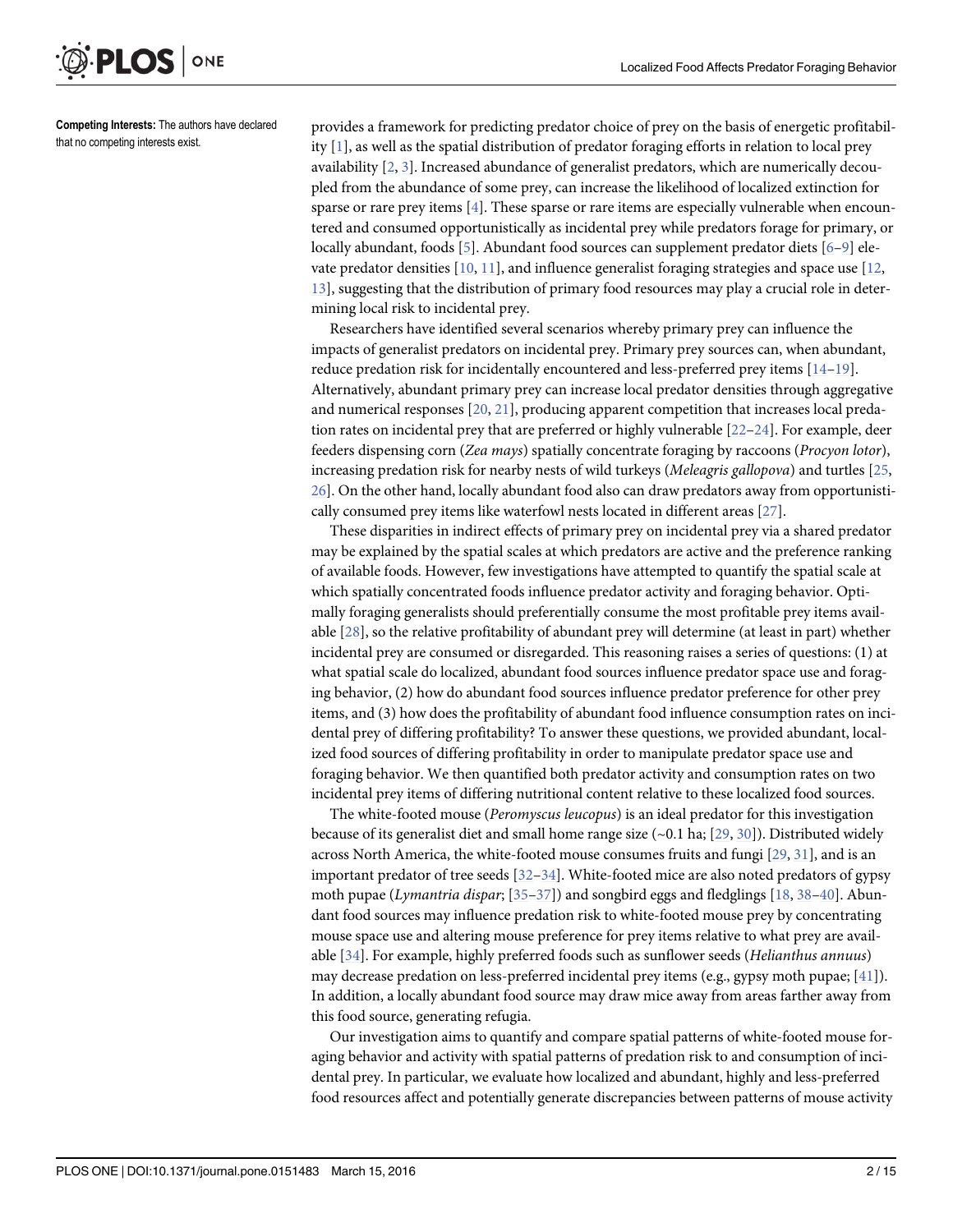<span id="page-2-0"></span>

Competing Interests: The authors have declared that no competing interests exist.

provides a framework for predicting predator choice of prey on the basis of energetic profitability [[1\]](#page-13-0), as well as the spatial distribution of predator foraging efforts in relation to local prey availability  $[2, 3]$  $[2, 3]$  $[2, 3]$  $[2, 3]$ . Increased abundance of generalist predators, which are numerically decoupled from the abundance of some prey, can increase the likelihood of localized extinction for sparse or rare prey items [[4\]](#page-13-0). These sparse or rare items are especially vulnerable when encountered and consumed opportunistically as incidental prey while predators forage for primary, or locally abundant, foods [[5\]](#page-13-0). Abundant food sources can supplement predator diets [\[6](#page-13-0)-[9\]](#page-13-0) elevate predator densities [\[10,](#page-13-0) [11\]](#page-13-0), and influence generalist foraging strategies and space use [[12,](#page-13-0) [13\]](#page-13-0), suggesting that the distribution of primary food resources may play a crucial role in determining local risk to incidental prey.

Researchers have identified several scenarios whereby primary prey can influence the impacts of generalist predators on incidental prey. Primary prey sources can, when abundant, reduce predation risk for incidentally encountered and less-preferred prey items [[14](#page-13-0)–[19](#page-14-0)]. Alternatively, abundant primary prey can increase local predator densities through aggregative and numerical responses  $[20, 21]$  $[20, 21]$  $[20, 21]$  $[20, 21]$  $[20, 21]$ , producing apparent competition that increases local predation rates on incidental prey that are preferred or highly vulnerable [\[22](#page-14-0)–[24](#page-14-0)]. For example, deer feeders dispensing corn (Zea mays) spatially concentrate foraging by raccoons (Procyon lotor), increasing predation risk for nearby nests of wild turkeys (Meleagris gallopova) and turtles [\[25](#page-14-0), [26\]](#page-14-0). On the other hand, locally abundant food also can draw predators away from opportunistically consumed prey items like waterfowl nests located in different areas [\[27\]](#page-14-0).

These disparities in indirect effects of primary prey on incidental prey via a shared predator may be explained by the spatial scales at which predators are active and the preference ranking of available foods. However, few investigations have attempted to quantify the spatial scale at which spatially concentrated foods influence predator activity and foraging behavior. Optimally foraging generalists should preferentially consume the most profitable prey items available [[28](#page-14-0)], so the relative profitability of abundant prey will determine (at least in part) whether incidental prey are consumed or disregarded. This reasoning raises a series of questions: (1) at what spatial scale do localized, abundant food sources influence predator space use and foraging behavior, (2) how do abundant food sources influence predator preference for other prey items, and (3) how does the profitability of abundant food influence consumption rates on incidental prey of differing profitability? To answer these questions, we provided abundant, localized food sources of differing profitability in order to manipulate predator space use and foraging behavior. We then quantified both predator activity and consumption rates on two incidental prey items of differing nutritional content relative to these localized food sources.

The white-footed mouse (Peromyscus leucopus) is an ideal predator for this investigation because of its generalist diet and small home range size  $(-0.1 \text{ ha}; [29, 30])$  $(-0.1 \text{ ha}; [29, 30])$  $(-0.1 \text{ ha}; [29, 30])$  $(-0.1 \text{ ha}; [29, 30])$  $(-0.1 \text{ ha}; [29, 30])$ . Distributed widely across North America, the white-footed mouse consumes fruits and fungi [\[29,](#page-14-0) [31\]](#page-14-0), and is an important predator of tree seeds [[32](#page-14-0)–[34](#page-14-0)]. White-footed mice are also noted predators of gypsy moth pupae (Lymantria dispar;  $[35-37]$  $[35-37]$  $[35-37]$  $[35-37]$  $[35-37]$ ) and songbird eggs and fledglings [\[18,](#page-14-0) [38](#page-14-0)–[40](#page-14-0)]. Abundant food sources may influence predation risk to white-footed mouse prey by concentrating mouse space use and altering mouse preference for prey items relative to what prey are available [[34](#page-14-0)]. For example, highly preferred foods such as sunflower seeds (Helianthus annuus) may decrease predation on less-preferred incidental prey items (e.g., gypsy moth pupae;  $[41]$  $[41]$  $[41]$ ). In addition, a locally abundant food source may draw mice away from areas farther away from this food source, generating refugia.

Our investigation aims to quantify and compare spatial patterns of white-footed mouse foraging behavior and activity with spatial patterns of predation risk to and consumption of incidental prey. In particular, we evaluate how localized and abundant, highly and less-preferred food resources affect and potentially generate discrepancies between patterns of mouse activity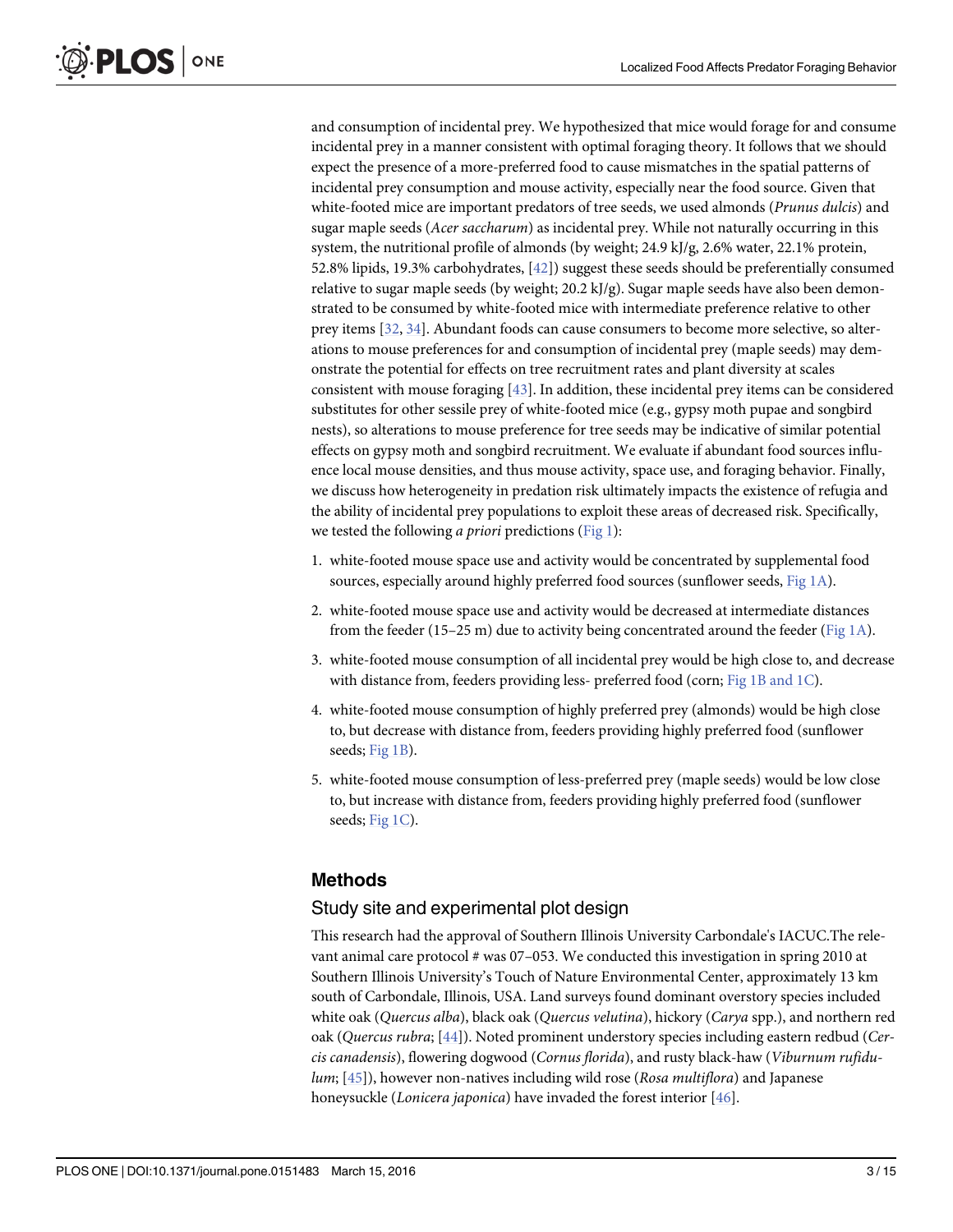<span id="page-3-0"></span>and consumption of incidental prey. We hypothesized that mice would forage for and consume incidental prey in a manner consistent with optimal foraging theory. It follows that we should expect the presence of a more-preferred food to cause mismatches in the spatial patterns of incidental prey consumption and mouse activity, especially near the food source. Given that white-footed mice are important predators of tree seeds, we used almonds (*Prunus dulcis*) and sugar maple seeds (Acer saccharum) as incidental prey. While not naturally occurring in this system, the nutritional profile of almonds (by weight; 24.9 kJ/g, 2.6% water, 22.1% protein, 52.8% lipids, 19.3% carbohydrates, [[42](#page-14-0)]) suggest these seeds should be preferentially consumed relative to sugar maple seeds (by weight;  $20.2$  kJ/g). Sugar maple seeds have also been demonstrated to be consumed by white-footed mice with intermediate preference relative to other prey items [\[32,](#page-14-0) [34\]](#page-14-0). Abundant foods can cause consumers to become more selective, so alterations to mouse preferences for and consumption of incidental prey (maple seeds) may demonstrate the potential for effects on tree recruitment rates and plant diversity at scales consistent with mouse foraging [\[43](#page-14-0)]. In addition, these incidental prey items can be considered substitutes for other sessile prey of white-footed mice (e.g., gypsy moth pupae and songbird nests), so alterations to mouse preference for tree seeds may be indicative of similar potential effects on gypsy moth and songbird recruitment. We evaluate if abundant food sources influence local mouse densities, and thus mouse activity, space use, and foraging behavior. Finally, we discuss how heterogeneity in predation risk ultimately impacts the existence of refugia and the ability of incidental prey populations to exploit these areas of decreased risk. Specifically, we tested the following *a priori* predictions ( $Fig 1$ ):

- 1. white-footed mouse space use and activity would be concentrated by supplemental food sources, especially around highly preferred food sources (sunflower seeds, [Fig 1A\)](#page-4-0).
- 2. white-footed mouse space use and activity would be decreased at intermediate distances from the feeder (15–25 m) due to activity being concentrated around the feeder (Fig  $1\text{A}$ ).
- 3. white-footed mouse consumption of all incidental prey would be high close to, and decrease with distance from, feeders providing less- preferred food (corn; [Fig 1B and 1C](#page-4-0)).
- 4. white-footed mouse consumption of highly preferred prey (almonds) would be high close to, but decrease with distance from, feeders providing highly preferred food (sunflower seeds; [Fig 1B](#page-4-0)).
- 5. white-footed mouse consumption of less-preferred prey (maple seeds) would be low close to, but increase with distance from, feeders providing highly preferred food (sunflower seeds; [Fig 1C](#page-4-0)).

#### Methods

#### Study site and experimental plot design

This research had the approval of Southern Illinois University Carbondale's IACUC.The relevant animal care protocol # was 07–053. We conducted this investigation in spring 2010 at Southern Illinois University's Touch of Nature Environmental Center, approximately 13 km south of Carbondale, Illinois, USA. Land surveys found dominant overstory species included white oak (Quercus alba), black oak (Quercus velutina), hickory (Carya spp.), and northern red oak (Quercus rubra; [[44](#page-14-0)]). Noted prominent understory species including eastern redbud (Cercis canadensis), flowering dogwood (Cornus florida), and rusty black-haw (Viburnum rufidu- $lum; [45]$  $lum; [45]$ ), however non-natives including wild rose (Rosa multiflora) and Japanese honeysuckle (Lonicera japonica) have invaded the forest interior [\[46\]](#page-15-0).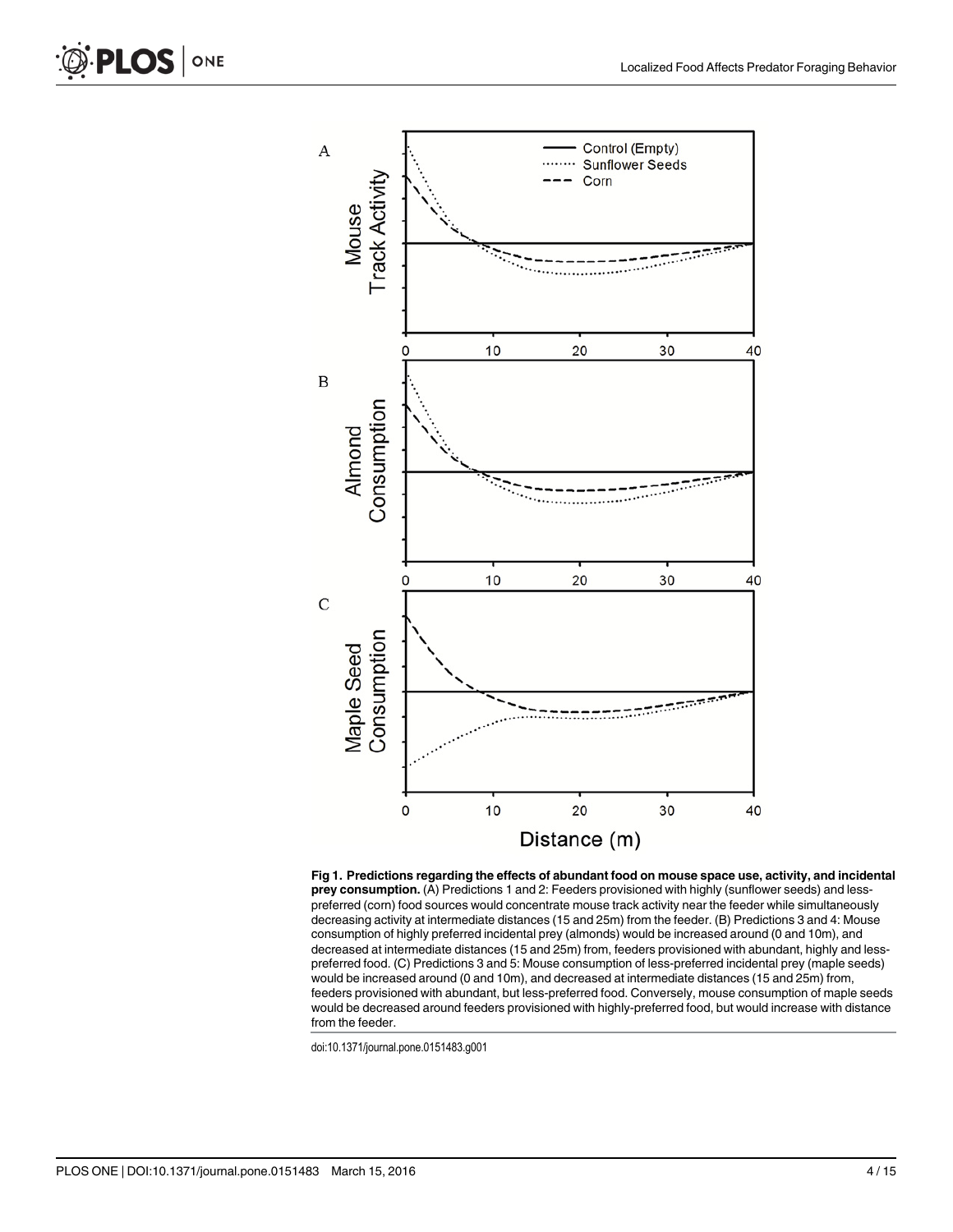<span id="page-4-0"></span>

[Fig 1. P](#page-3-0)redictions regarding the effects of abundant food on mouse space use, activity, and incidental prey consumption. (A) Predictions 1 and 2: Feeders provisioned with highly (sunflower seeds) and lesspreferred (corn) food sources would concentrate mouse track activity near the feeder while simultaneously decreasing activity at intermediate distances (15 and 25m) from the feeder. (B) Predictions 3 and 4: Mouse consumption of highly preferred incidental prey (almonds) would be increased around (0 and 10m), and decreased at intermediate distances (15 and 25m) from, feeders provisioned with abundant, highly and lesspreferred food. (C) Predictions 3 and 5: Mouse consumption of less-preferred incidental prey (maple seeds) would be increased around (0 and 10m), and decreased at intermediate distances (15 and 25m) from, feeders provisioned with abundant, but less-preferred food. Conversely, mouse consumption of maple seeds would be decreased around feeders provisioned with highly-preferred food, but would increase with distance from the feeder.

doi:10.1371/journal.pone.0151483.g001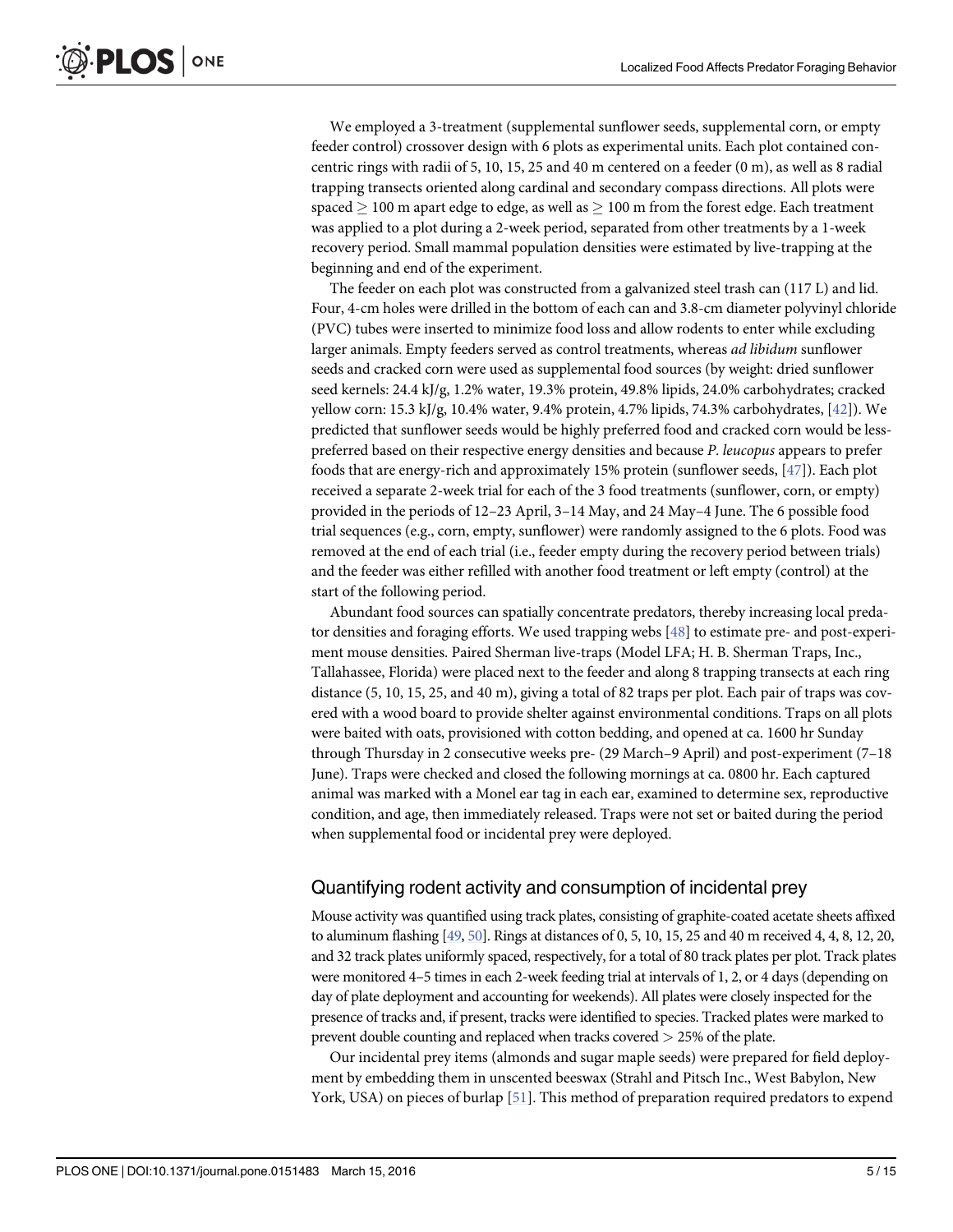<span id="page-5-0"></span>We employed a 3-treatment (supplemental sunflower seeds, supplemental corn, or empty feeder control) crossover design with 6 plots as experimental units. Each plot contained concentric rings with radii of 5, 10, 15, 25 and 40 m centered on a feeder (0 m), as well as 8 radial trapping transects oriented along cardinal and secondary compass directions. All plots were spaced  $> 100$  m apart edge to edge, as well as  $> 100$  m from the forest edge. Each treatment was applied to a plot during a 2-week period, separated from other treatments by a 1-week recovery period. Small mammal population densities were estimated by live-trapping at the beginning and end of the experiment.

The feeder on each plot was constructed from a galvanized steel trash can (117 L) and lid. Four, 4-cm holes were drilled in the bottom of each can and 3.8-cm diameter polyvinyl chloride (PVC) tubes were inserted to minimize food loss and allow rodents to enter while excluding larger animals. Empty feeders served as control treatments, whereas ad libidum sunflower seeds and cracked corn were used as supplemental food sources (by weight: dried sunflower seed kernels: 24.4 kJ/g, 1.2% water, 19.3% protein, 49.8% lipids, 24.0% carbohydrates; cracked yellow corn: 15.3 kJ/g, 10.4% water, 9.4% protein, 4.7% lipids, 74.3% carbohydrates,  $[42]$ ). We predicted that sunflower seeds would be highly preferred food and cracked corn would be lesspreferred based on their respective energy densities and because P. leucopus appears to prefer foods that are energy-rich and approximately 15% protein (sunflower seeds, [[47](#page-15-0)]). Each plot received a separate 2-week trial for each of the 3 food treatments (sunflower, corn, or empty) provided in the periods of 12–23 April, 3–14 May, and 24 May–4 June. The 6 possible food trial sequences (e.g., corn, empty, sunflower) were randomly assigned to the 6 plots. Food was removed at the end of each trial (i.e., feeder empty during the recovery period between trials) and the feeder was either refilled with another food treatment or left empty (control) at the start of the following period.

Abundant food sources can spatially concentrate predators, thereby increasing local predator densities and foraging efforts. We used trapping webs [[48](#page-15-0)] to estimate pre- and post-experiment mouse densities. Paired Sherman live-traps (Model LFA; H. B. Sherman Traps, Inc., Tallahassee, Florida) were placed next to the feeder and along 8 trapping transects at each ring distance (5, 10, 15, 25, and 40 m), giving a total of 82 traps per plot. Each pair of traps was covered with a wood board to provide shelter against environmental conditions. Traps on all plots were baited with oats, provisioned with cotton bedding, and opened at ca. 1600 hr Sunday through Thursday in 2 consecutive weeks pre- (29 March–9 April) and post-experiment (7–18 June). Traps were checked and closed the following mornings at ca. 0800 hr. Each captured animal was marked with a Monel ear tag in each ear, examined to determine sex, reproductive condition, and age, then immediately released. Traps were not set or baited during the period when supplemental food or incidental prey were deployed.

#### Quantifying rodent activity and consumption of incidental prey

Mouse activity was quantified using track plates, consisting of graphite-coated acetate sheets affixed to aluminum flashing [\[49](#page-15-0), [50\]](#page-15-0). Rings at distances of 0, 5, 10, 15, 25 and 40 m received 4, 4, 8, 12, 20, and 32 track plates uniformly spaced, respectively, for a total of 80 track plates per plot. Track plates were monitored 4–5 times in each 2-week feeding trial at intervals of 1, 2, or 4 days (depending on day of plate deployment and accounting for weekends). All plates were closely inspected for the presence of tracks and, if present, tracks were identified to species. Tracked plates were marked to prevent double counting and replaced when tracks covered > 25% of the plate.

Our incidental prey items (almonds and sugar maple seeds) were prepared for field deployment by embedding them in unscented beeswax (Strahl and Pitsch Inc., West Babylon, New York, USA) on pieces of burlap [\[51\]](#page-15-0). This method of preparation required predators to expend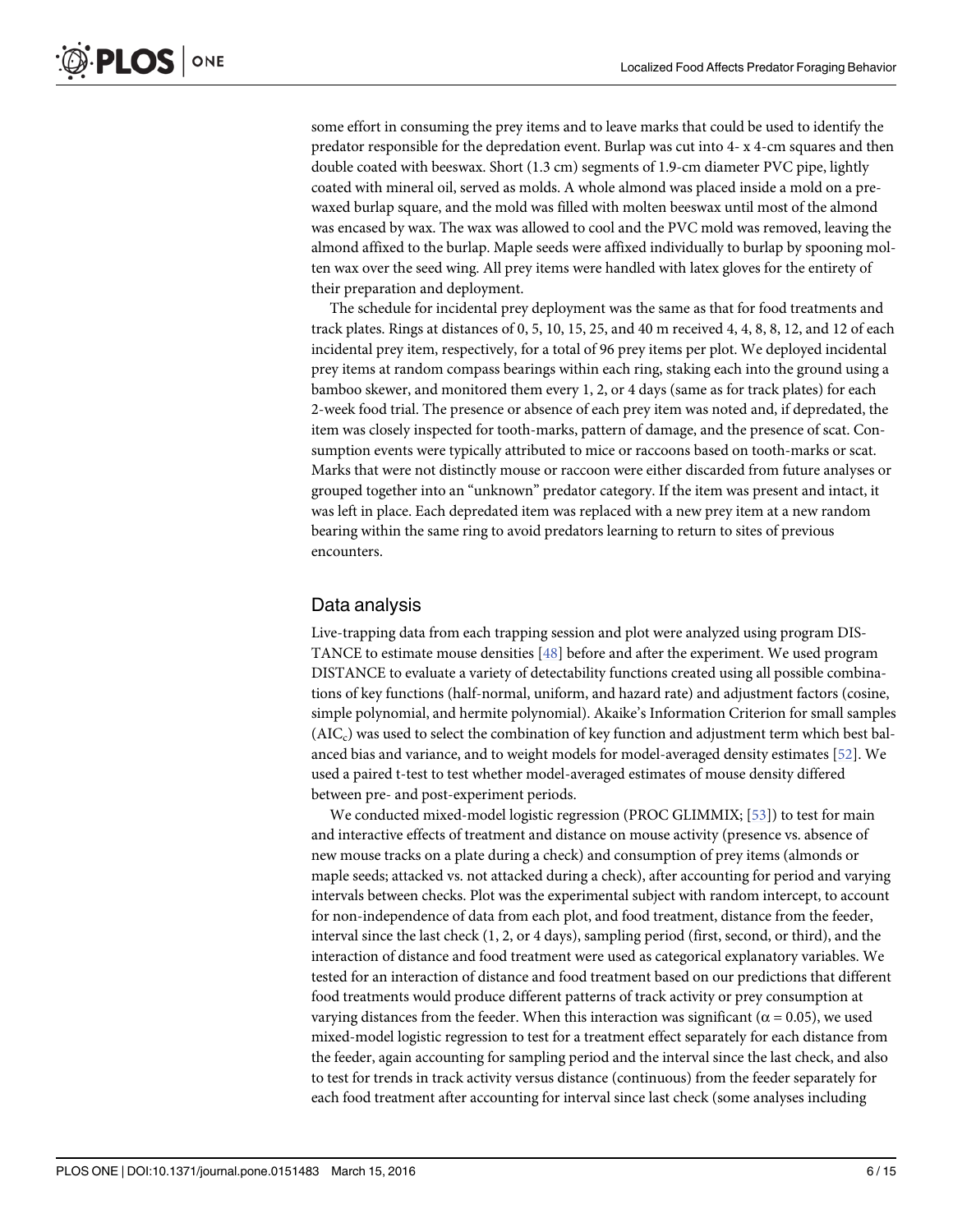<span id="page-6-0"></span>some effort in consuming the prey items and to leave marks that could be used to identify the predator responsible for the depredation event. Burlap was cut into 4- x 4-cm squares and then double coated with beeswax. Short (1.3 cm) segments of 1.9-cm diameter PVC pipe, lightly coated with mineral oil, served as molds. A whole almond was placed inside a mold on a prewaxed burlap square, and the mold was filled with molten beeswax until most of the almond was encased by wax. The wax was allowed to cool and the PVC mold was removed, leaving the almond affixed to the burlap. Maple seeds were affixed individually to burlap by spooning molten wax over the seed wing. All prey items were handled with latex gloves for the entirety of their preparation and deployment.

The schedule for incidental prey deployment was the same as that for food treatments and track plates. Rings at distances of 0, 5, 10, 15, 25, and 40 m received 4, 4, 8, 8, 12, and 12 of each incidental prey item, respectively, for a total of 96 prey items per plot. We deployed incidental prey items at random compass bearings within each ring, staking each into the ground using a bamboo skewer, and monitored them every 1, 2, or 4 days (same as for track plates) for each 2-week food trial. The presence or absence of each prey item was noted and, if depredated, the item was closely inspected for tooth-marks, pattern of damage, and the presence of scat. Consumption events were typically attributed to mice or raccoons based on tooth-marks or scat. Marks that were not distinctly mouse or raccoon were either discarded from future analyses or grouped together into an "unknown" predator category. If the item was present and intact, it was left in place. Each depredated item was replaced with a new prey item at a new random bearing within the same ring to avoid predators learning to return to sites of previous encounters.

#### Data analysis

Live-trapping data from each trapping session and plot were analyzed using program DIS-TANCE to estimate mouse densities [[48\]](#page-15-0) before and after the experiment. We used program DISTANCE to evaluate a variety of detectability functions created using all possible combinations of key functions (half-normal, uniform, and hazard rate) and adjustment factors (cosine, simple polynomial, and hermite polynomial). Akaike's Information Criterion for small samples  $(AIC<sub>c</sub>)$  was used to select the combination of key function and adjustment term which best balanced bias and variance, and to weight models for model-averaged density estimates [\[52\]](#page-15-0). We used a paired t-test to test whether model-averaged estimates of mouse density differed between pre- and post-experiment periods.

We conducted mixed-model logistic regression (PROC GLIMMIX; [\[53\]](#page-15-0)) to test for main and interactive effects of treatment and distance on mouse activity (presence vs. absence of new mouse tracks on a plate during a check) and consumption of prey items (almonds or maple seeds; attacked vs. not attacked during a check), after accounting for period and varying intervals between checks. Plot was the experimental subject with random intercept, to account for non-independence of data from each plot, and food treatment, distance from the feeder, interval since the last check (1, 2, or 4 days), sampling period (first, second, or third), and the interaction of distance and food treatment were used as categorical explanatory variables. We tested for an interaction of distance and food treatment based on our predictions that different food treatments would produce different patterns of track activity or prey consumption at varying distances from the feeder. When this interaction was significant ( $\alpha$  = 0.05), we used mixed-model logistic regression to test for a treatment effect separately for each distance from the feeder, again accounting for sampling period and the interval since the last check, and also to test for trends in track activity versus distance (continuous) from the feeder separately for each food treatment after accounting for interval since last check (some analyses including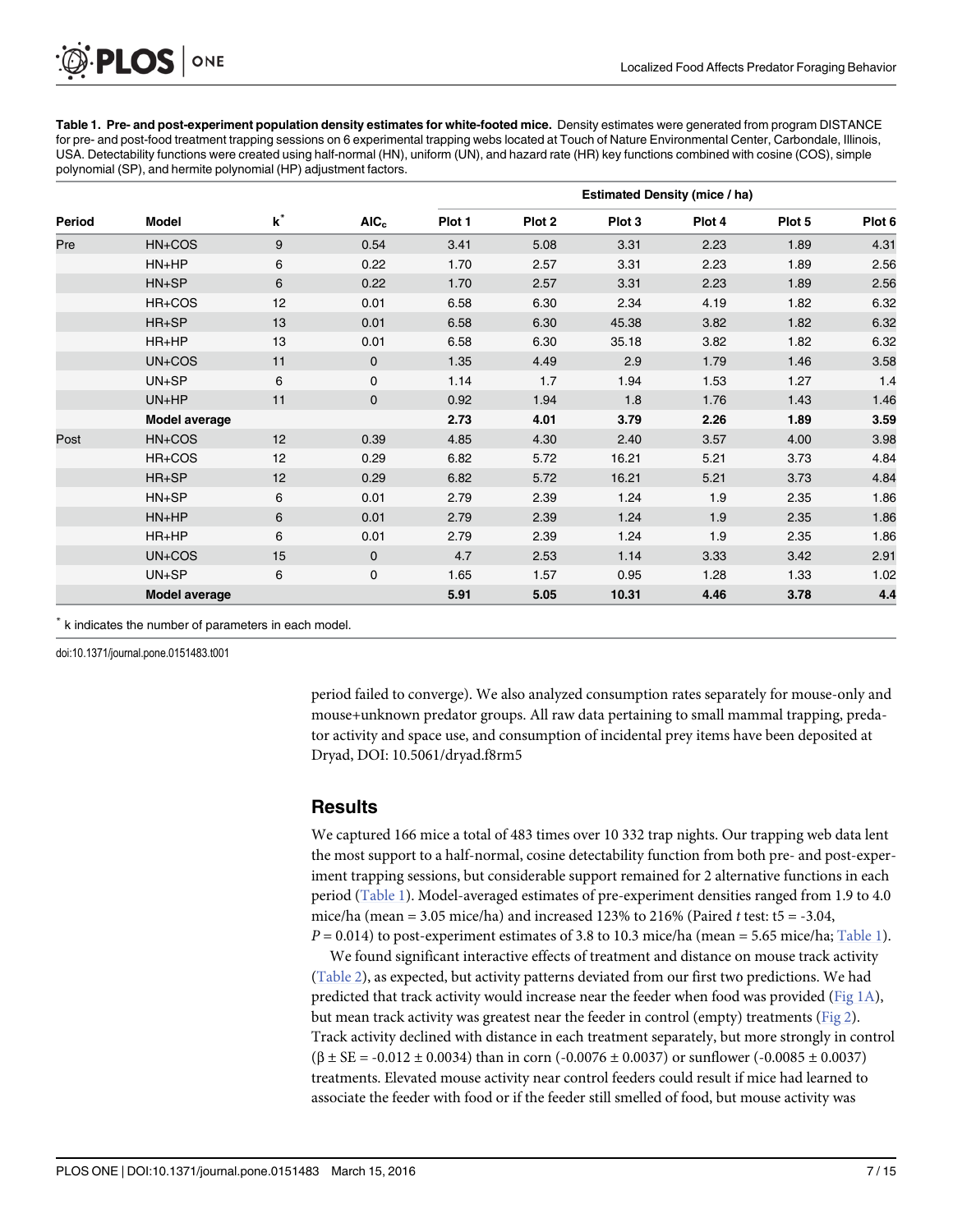<span id="page-7-0"></span>Table 1. Pre- and post-experiment population density estimates for white-footed mice. Density estimates were generated from program DISTANCE for pre- and post-food treatment trapping sessions on 6 experimental trapping webs located at Touch of Nature Environmental Center, Carbondale, Illinois, USA. Detectability functions were created using half-normal (HN), uniform (UN), and hazard rate (HR) key functions combined with cosine (COS), simple polynomial (SP), and hermite polynomial (HP) adjustment factors.

| Period | <b>Model</b>         | $\mathbf{k}^*$ | AIC <sub>c</sub> | <b>Estimated Density (mice / ha)</b> |        |        |        |        |        |  |
|--------|----------------------|----------------|------------------|--------------------------------------|--------|--------|--------|--------|--------|--|
|        |                      |                |                  | Plot 1                               | Plot 2 | Plot 3 | Plot 4 | Plot 5 | Plot 6 |  |
| Pre    | HN+COS               | 9              | 0.54             | 3.41                                 | 5.08   | 3.31   | 2.23   | 1.89   | 4.31   |  |
|        | HN+HP                | 6              | 0.22             | 1.70                                 | 2.57   | 3.31   | 2.23   | 1.89   | 2.56   |  |
|        | HN+SP                | 6              | 0.22             | 1.70                                 | 2.57   | 3.31   | 2.23   | 1.89   | 2.56   |  |
|        | HR+COS               | 12             | 0.01             | 6.58                                 | 6.30   | 2.34   | 4.19   | 1.82   | 6.32   |  |
|        | HR+SP                | 13             | 0.01             | 6.58                                 | 6.30   | 45.38  | 3.82   | 1.82   | 6.32   |  |
|        | HR+HP                | 13             | 0.01             | 6.58                                 | 6.30   | 35.18  | 3.82   | 1.82   | 6.32   |  |
|        | $UN+COS$             | 11             | $\mathbf 0$      | 1.35                                 | 4.49   | 2.9    | 1.79   | 1.46   | 3.58   |  |
|        | UN+SP                | 6              | $\mathbf 0$      | 1.14                                 | 1.7    | 1.94   | 1.53   | 1.27   | 1.4    |  |
|        | UN+HP                | 11             | $\mathbf 0$      | 0.92                                 | 1.94   | 1.8    | 1.76   | 1.43   | 1.46   |  |
|        | <b>Model average</b> |                |                  | 2.73                                 | 4.01   | 3.79   | 2.26   | 1.89   | 3.59   |  |
| Post   | HN+COS               | 12             | 0.39             | 4.85                                 | 4.30   | 2.40   | 3.57   | 4.00   | 3.98   |  |
|        | HR+COS               | 12             | 0.29             | 6.82                                 | 5.72   | 16.21  | 5.21   | 3.73   | 4.84   |  |
|        | $HR+SP$              | 12             | 0.29             | 6.82                                 | 5.72   | 16.21  | 5.21   | 3.73   | 4.84   |  |
|        | $HN+SP$              | 6              | 0.01             | 2.79                                 | 2.39   | 1.24   | 1.9    | 2.35   | 1.86   |  |
|        | $HN+HP$              | 6              | 0.01             | 2.79                                 | 2.39   | 1.24   | 1.9    | 2.35   | 1.86   |  |
|        | HR+HP                | 6              | 0.01             | 2.79                                 | 2.39   | 1.24   | 1.9    | 2.35   | 1.86   |  |
|        | $UN+COS$             | 15             | $\mathbf 0$      | 4.7                                  | 2.53   | 1.14   | 3.33   | 3.42   | 2.91   |  |
|        | $UN+SP$              | 6              | $\mathbf 0$      | 1.65                                 | 1.57   | 0.95   | 1.28   | 1.33   | 1.02   |  |
|        | <b>Model average</b> |                |                  | 5.91                                 | 5.05   | 10.31  | 4.46   | 3.78   | 4.4    |  |

\* k indicates the number of parameters in each model.

doi:10.1371/journal.pone.0151483.t001

period failed to converge). We also analyzed consumption rates separately for mouse-only and mouse+unknown predator groups. All raw data pertaining to small mammal trapping, predator activity and space use, and consumption of incidental prey items have been deposited at Dryad, DOI: 10.5061/dryad.f8rm5

#### **Results**

We captured 166 mice a total of 483 times over 10 332 trap nights. Our trapping web data lent the most support to a half-normal, cosine detectability function from both pre- and post-experiment trapping sessions, but considerable support remained for 2 alternative functions in each period (Table 1). Model-averaged estimates of pre-experiment densities ranged from 1.9 to 4.0 mice/ha (mean = 3.05 mice/ha) and increased 123% to 216% (Paired t test:  $t = -3.04$ ,  $P = 0.014$ ) to post-experiment estimates of 3.8 to 10.3 mice/ha (mean = 5.65 mice/ha; Table 1).

We found significant interactive effects of treatment and distance on mouse track activity [\(Table 2\)](#page-8-0), as expected, but activity patterns deviated from our first two predictions. We had predicted that track activity would increase near the feeder when food was provided ([Fig 1A](#page-4-0)), but mean track activity was greatest near the feeder in control (empty) treatments ( $Fig 2$ ). Track activity declined with distance in each treatment separately, but more strongly in control  $(\beta \pm SE = -0.012 \pm 0.0034)$  than in corn (-0.0076  $\pm$  0.0037) or sunflower (-0.0085  $\pm$  0.0037) treatments. Elevated mouse activity near control feeders could result if mice had learned to associate the feeder with food or if the feeder still smelled of food, but mouse activity was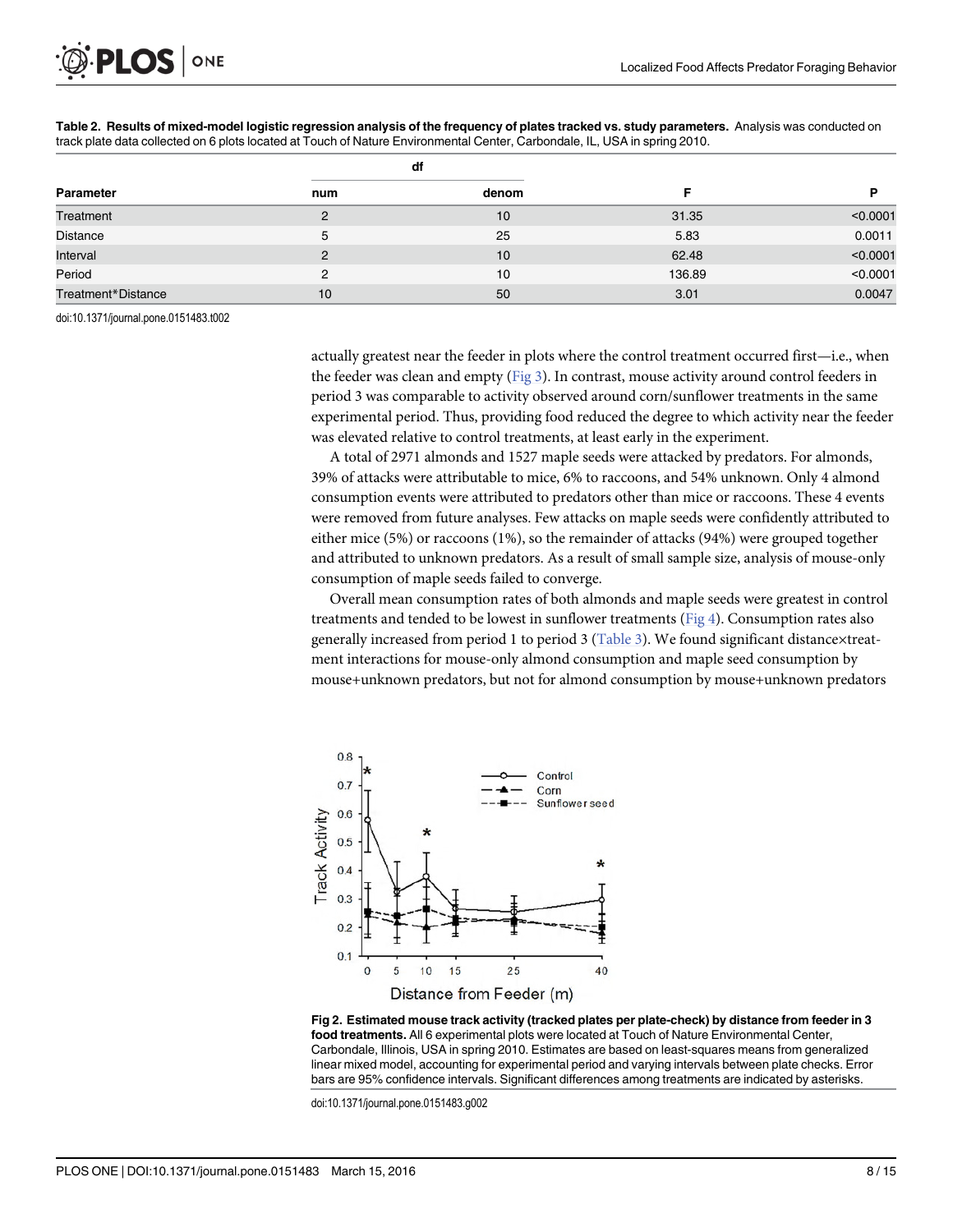<span id="page-8-0"></span>

|                    |     | df              |        |          |
|--------------------|-----|-----------------|--------|----------|
| Parameter          | num | denom           |        |          |
| Treatment          | 2   | 10              | 31.35  | < 0.0001 |
| <b>Distance</b>    | 5   | 25              | 5.83   | 0.0011   |
| Interval           | 2   | 10 <sup>1</sup> | 62.48  | < 0.0001 |
| Period             | 2   | 10              | 136.89 | < 0.0001 |
| Treatment*Distance | 10  | 50              | 3.01   | 0.0047   |

[Table 2.](#page-7-0) Results of mixed-model logistic regression analysis of the frequency of plates tracked vs. study parameters. Analysis was conducted on track plate data collected on 6 plots located at Touch of Nature Environmental Center, Carbondale, IL, USA in spring 2010.

doi:10.1371/journal.pone.0151483.t002

actually greatest near the feeder in plots where the control treatment occurred first—i.e., when the feeder was clean and empty  $(Fig_3)$ . In contrast, mouse activity around control feeders in period 3 was comparable to activity observed around corn/sunflower treatments in the same experimental period. Thus, providing food reduced the degree to which activity near the feeder was elevated relative to control treatments, at least early in the experiment.

A total of 2971 almonds and 1527 maple seeds were attacked by predators. For almonds, 39% of attacks were attributable to mice, 6% to raccoons, and 54% unknown. Only 4 almond consumption events were attributed to predators other than mice or raccoons. These 4 events were removed from future analyses. Few attacks on maple seeds were confidently attributed to either mice (5%) or raccoons (1%), so the remainder of attacks (94%) were grouped together and attributed to unknown predators. As a result of small sample size, analysis of mouse-only consumption of maple seeds failed to converge.

Overall mean consumption rates of both almonds and maple seeds were greatest in control treatments and tended to be lowest in sunflower treatments [\(Fig 4\)](#page-9-0). Consumption rates also generally increased from period 1 to period 3 [\(Table 3\)](#page-10-0). We found significant distancextreatment interactions for mouse-only almond consumption and maple seed consumption by mouse+unknown predators, but not for almond consumption by mouse+unknown predators



[Fig 2. E](#page-7-0)stimated mouse track activity (tracked plates per plate-check) by distance from feeder in 3 food treatments. All 6 experimental plots were located at Touch of Nature Environmental Center, Carbondale, Illinois, USA in spring 2010. Estimates are based on least-squares means from generalized linear mixed model, accounting for experimental period and varying intervals between plate checks. Error bars are 95% confidence intervals. Significant differences among treatments are indicated by asterisks.

doi:10.1371/journal.pone.0151483.g002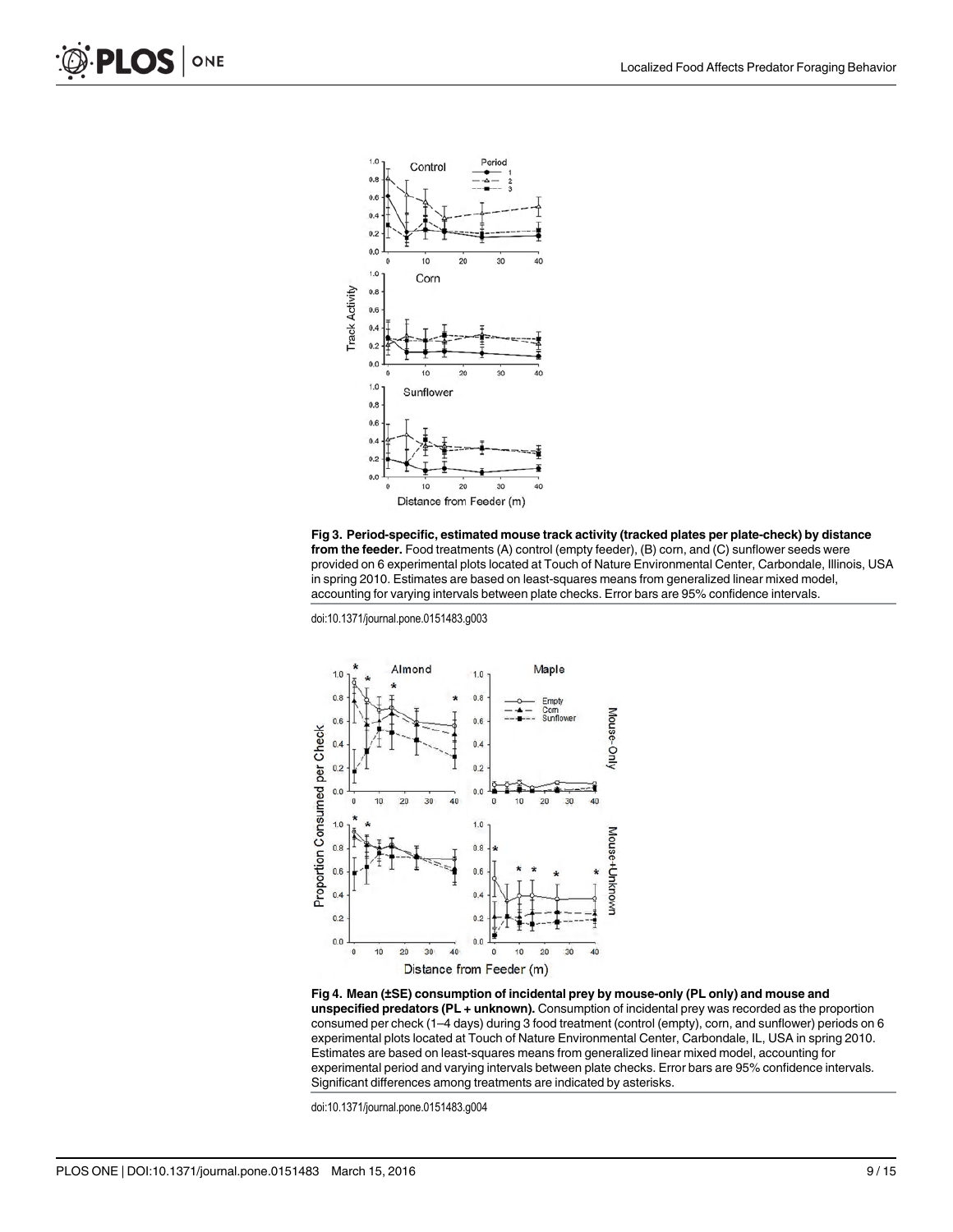<span id="page-9-0"></span>



doi:10.1371/journal.pone.0151483.g003



[Fig 4. M](#page-8-0)ean (±SE) consumption of incidental prey by mouse-only (PL only) and mouse and unspecified predators (PL + unknown). Consumption of incidental prey was recorded as the proportion consumed per check (1–4 days) during 3 food treatment (control (empty), corn, and sunflower) periods on 6 experimental plots located at Touch of Nature Environmental Center, Carbondale, IL, USA in spring 2010. Estimates are based on least-squares means from generalized linear mixed model, accounting for experimental period and varying intervals between plate checks. Error bars are 95% confidence intervals. Significant differences among treatments are indicated by asterisks.

doi:10.1371/journal.pone.0151483.g004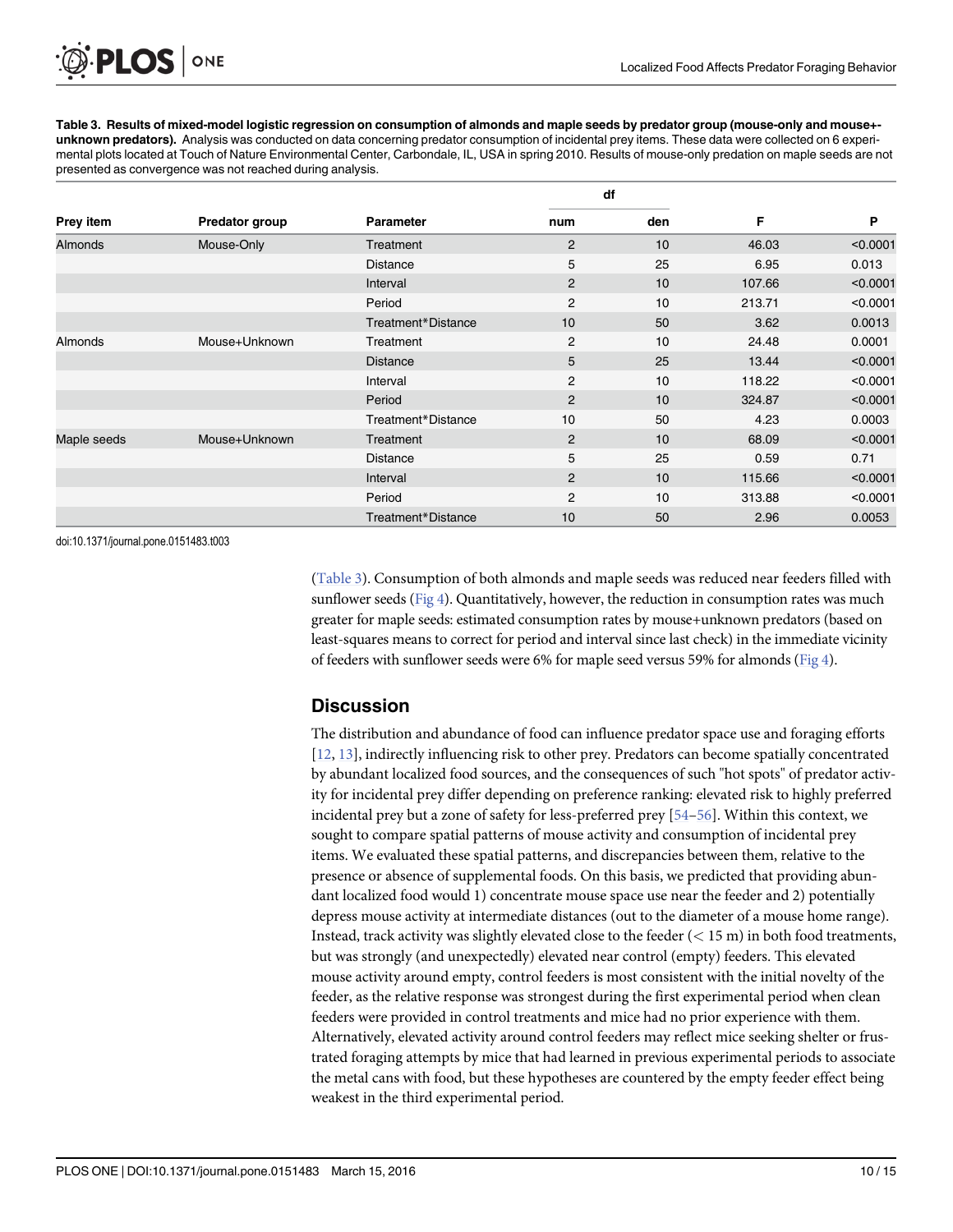[Table 3.](#page-8-0) Results of mixed-model logistic regression on consumption of almonds and maple seeds by predator group (mouse-only and mouse+ unknown predators). Analysis was conducted on data concerning predator consumption of incidental prey items. These data were collected on 6 experimental plots located at Touch of Nature Environmental Center, Carbondale, IL, USA in spring 2010. Results of mouse-only predation on maple seeds are not presented as convergence was not reached during analysis.

|                |                |                    | df             |     |        |          |
|----------------|----------------|--------------------|----------------|-----|--------|----------|
| Prey item      | Predator group | <b>Parameter</b>   | num            | den | F      | P        |
| <b>Almonds</b> | Mouse-Only     | Treatment          | $\overline{2}$ | 10  | 46.03  | < 0.0001 |
|                |                | Distance           | 5              | 25  | 6.95   | 0.013    |
|                |                | Interval           | $\overline{2}$ | 10  | 107.66 | < 0.0001 |
|                |                | Period             | $\overline{2}$ | 10  | 213.71 | < 0.0001 |
|                |                | Treatment*Distance | 10             | 50  | 3.62   | 0.0013   |
| Almonds        | Mouse+Unknown  | Treatment          | 2              | 10  | 24.48  | 0.0001   |
|                |                | <b>Distance</b>    | 5              | 25  | 13.44  | < 0.0001 |
|                |                | Interval           | $\overline{2}$ | 10  | 118.22 | < 0.0001 |
|                |                | Period             | $\overline{2}$ | 10  | 324.87 | < 0.0001 |
|                |                | Treatment*Distance | 10             | 50  | 4.23   | 0.0003   |
| Maple seeds    | Mouse+Unknown  | Treatment          | $\overline{2}$ | 10  | 68.09  | < 0.0001 |
|                |                | <b>Distance</b>    | 5              | 25  | 0.59   | 0.71     |
|                |                | Interval           | $\overline{2}$ | 10  | 115.66 | < 0.0001 |
|                |                | Period             | $\overline{2}$ | 10  | 313.88 | < 0.0001 |
|                |                | Treatment*Distance | 10             | 50  | 2.96   | 0.0053   |

doi:10.1371/journal.pone.0151483.t003

<span id="page-10-0"></span>PLOS ONE

(Table 3). Consumption of both almonds and maple seeds was reduced near feeders filled with sunflower seeds ([Fig 4\)](#page-9-0). Quantitatively, however, the reduction in consumption rates was much greater for maple seeds: estimated consumption rates by mouse+unknown predators (based on least-squares means to correct for period and interval since last check) in the immediate vicinity of feeders with sunflower seeds were 6% for maple seed versus 59% for almonds ( $Fig 4$ ).

#### **Discussion**

The distribution and abundance of food can influence predator space use and foraging efforts [\[12](#page-13-0), [13\]](#page-13-0), indirectly influencing risk to other prey. Predators can become spatially concentrated by abundant localized food sources, and the consequences of such "hot spots" of predator activity for incidental prey differ depending on preference ranking: elevated risk to highly preferred incidental prey but a zone of safety for less-preferred prey [\[54](#page-15-0)–[56](#page-15-0)]. Within this context, we sought to compare spatial patterns of mouse activity and consumption of incidental prey items. We evaluated these spatial patterns, and discrepancies between them, relative to the presence or absence of supplemental foods. On this basis, we predicted that providing abundant localized food would 1) concentrate mouse space use near the feeder and 2) potentially depress mouse activity at intermediate distances (out to the diameter of a mouse home range). Instead, track activity was slightly elevated close to the feeder  $(< 15 \text{ m})$  in both food treatments, but was strongly (and unexpectedly) elevated near control (empty) feeders. This elevated mouse activity around empty, control feeders is most consistent with the initial novelty of the feeder, as the relative response was strongest during the first experimental period when clean feeders were provided in control treatments and mice had no prior experience with them. Alternatively, elevated activity around control feeders may reflect mice seeking shelter or frustrated foraging attempts by mice that had learned in previous experimental periods to associate the metal cans with food, but these hypotheses are countered by the empty feeder effect being weakest in the third experimental period.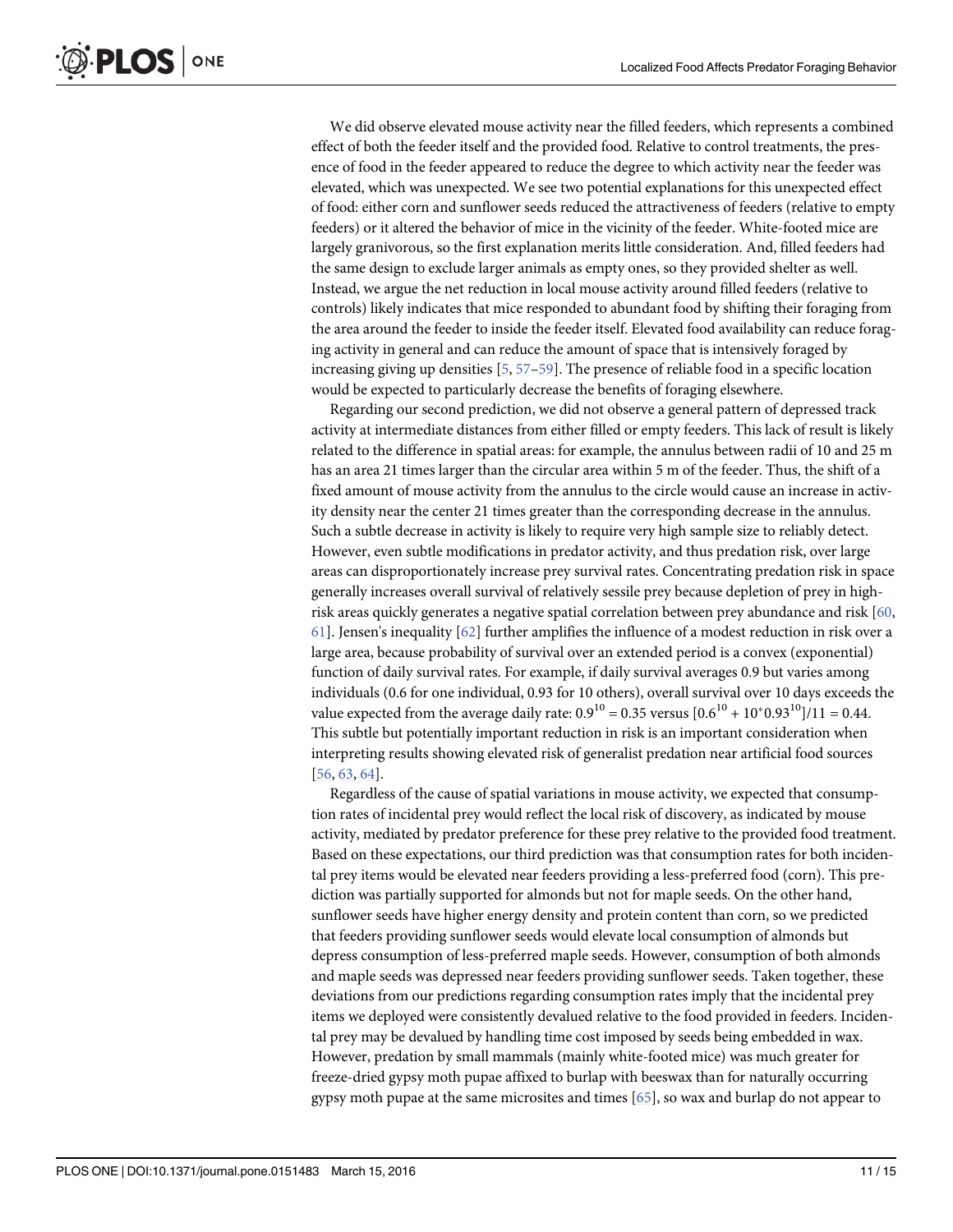<span id="page-11-0"></span>We did observe elevated mouse activity near the filled feeders, which represents a combined effect of both the feeder itself and the provided food. Relative to control treatments, the presence of food in the feeder appeared to reduce the degree to which activity near the feeder was elevated, which was unexpected. We see two potential explanations for this unexpected effect of food: either corn and sunflower seeds reduced the attractiveness of feeders (relative to empty feeders) or it altered the behavior of mice in the vicinity of the feeder. White-footed mice are largely granivorous, so the first explanation merits little consideration. And, filled feeders had the same design to exclude larger animals as empty ones, so they provided shelter as well. Instead, we argue the net reduction in local mouse activity around filled feeders (relative to controls) likely indicates that mice responded to abundant food by shifting their foraging from the area around the feeder to inside the feeder itself. Elevated food availability can reduce foraging activity in general and can reduce the amount of space that is intensively foraged by increasing giving up densities [\[5](#page-13-0), [57](#page-15-0)–[59\]](#page-15-0). The presence of reliable food in a specific location would be expected to particularly decrease the benefits of foraging elsewhere.

Regarding our second prediction, we did not observe a general pattern of depressed track activity at intermediate distances from either filled or empty feeders. This lack of result is likely related to the difference in spatial areas: for example, the annulus between radii of 10 and 25 m has an area 21 times larger than the circular area within 5 m of the feeder. Thus, the shift of a fixed amount of mouse activity from the annulus to the circle would cause an increase in activity density near the center 21 times greater than the corresponding decrease in the annulus. Such a subtle decrease in activity is likely to require very high sample size to reliably detect. However, even subtle modifications in predator activity, and thus predation risk, over large areas can disproportionately increase prey survival rates. Concentrating predation risk in space generally increases overall survival of relatively sessile prey because depletion of prey in highrisk areas quickly generates a negative spatial correlation between prey abundance and risk [[60](#page-15-0), [61\]](#page-15-0). Jensen's inequality [\[62\]](#page-15-0) further amplifies the influence of a modest reduction in risk over a large area, because probability of survival over an extended period is a convex (exponential) function of daily survival rates. For example, if daily survival averages 0.9 but varies among individuals (0.6 for one individual, 0.93 for 10 others), overall survival over 10 days exceeds the value expected from the average daily rate:  $0.9^{10} = 0.35$  versus  $[0.6^{10} + 10^{*}0.93^{10}]/11 = 0.44$ . This subtle but potentially important reduction in risk is an important consideration when interpreting results showing elevated risk of generalist predation near artificial food sources [\[56](#page-15-0), [63,](#page-15-0) [64](#page-15-0)].

Regardless of the cause of spatial variations in mouse activity, we expected that consumption rates of incidental prey would reflect the local risk of discovery, as indicated by mouse activity, mediated by predator preference for these prey relative to the provided food treatment. Based on these expectations, our third prediction was that consumption rates for both incidental prey items would be elevated near feeders providing a less-preferred food (corn). This prediction was partially supported for almonds but not for maple seeds. On the other hand, sunflower seeds have higher energy density and protein content than corn, so we predicted that feeders providing sunflower seeds would elevate local consumption of almonds but depress consumption of less-preferred maple seeds. However, consumption of both almonds and maple seeds was depressed near feeders providing sunflower seeds. Taken together, these deviations from our predictions regarding consumption rates imply that the incidental prey items we deployed were consistently devalued relative to the food provided in feeders. Incidental prey may be devalued by handling time cost imposed by seeds being embedded in wax. However, predation by small mammals (mainly white-footed mice) was much greater for freeze-dried gypsy moth pupae affixed to burlap with beeswax than for naturally occurring gypsy moth pupae at the same microsites and times [\[65\]](#page-15-0), so wax and burlap do not appear to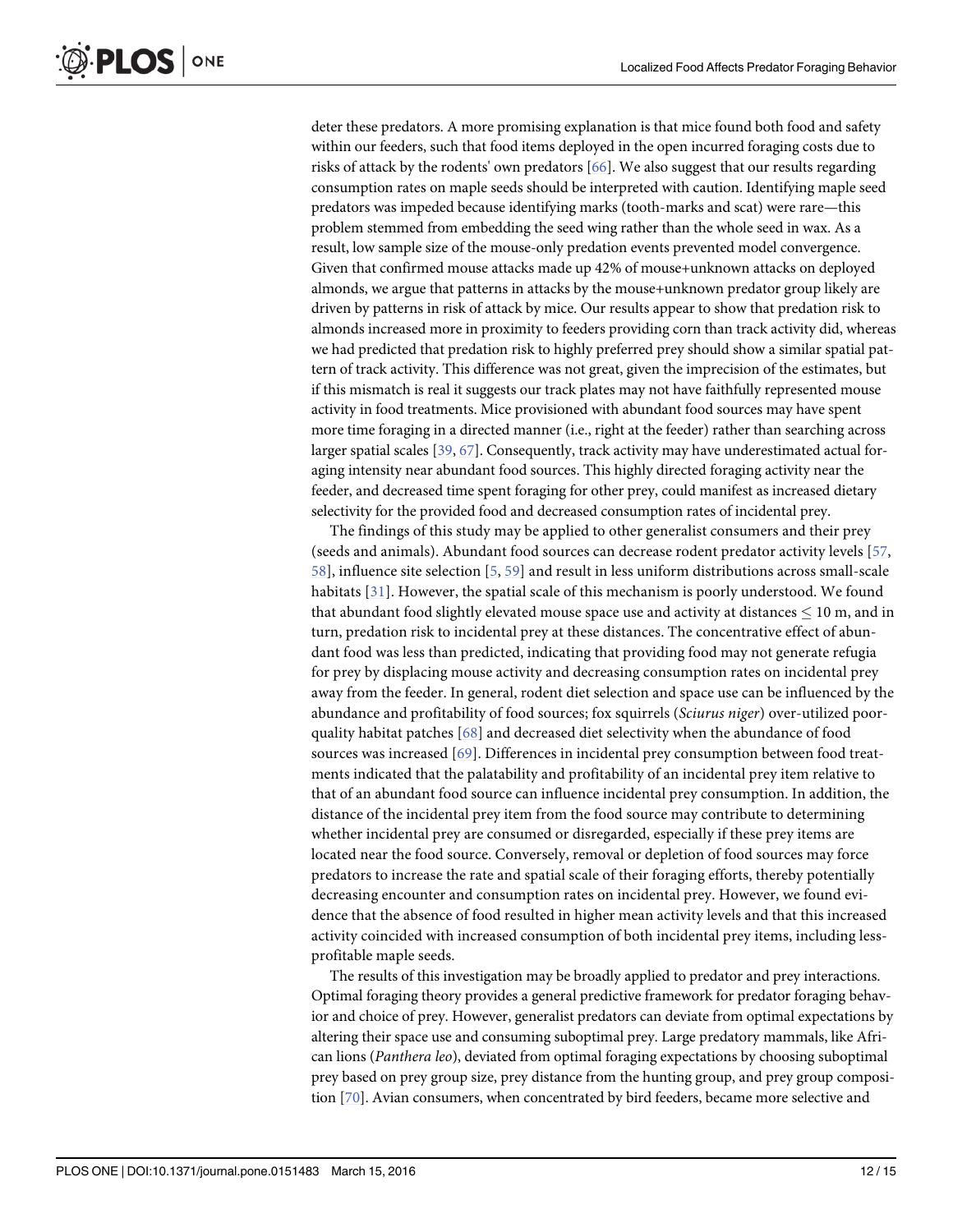<span id="page-12-0"></span>deter these predators. A more promising explanation is that mice found both food and safety within our feeders, such that food items deployed in the open incurred foraging costs due to risks of attack by the rodents' own predators  $[66]$ . We also suggest that our results regarding consumption rates on maple seeds should be interpreted with caution. Identifying maple seed predators was impeded because identifying marks (tooth-marks and scat) were rare—this problem stemmed from embedding the seed wing rather than the whole seed in wax. As a result, low sample size of the mouse-only predation events prevented model convergence. Given that confirmed mouse attacks made up 42% of mouse+unknown attacks on deployed almonds, we argue that patterns in attacks by the mouse+unknown predator group likely are driven by patterns in risk of attack by mice. Our results appear to show that predation risk to almonds increased more in proximity to feeders providing corn than track activity did, whereas we had predicted that predation risk to highly preferred prey should show a similar spatial pattern of track activity. This difference was not great, given the imprecision of the estimates, but if this mismatch is real it suggests our track plates may not have faithfully represented mouse activity in food treatments. Mice provisioned with abundant food sources may have spent more time foraging in a directed manner (i.e., right at the feeder) rather than searching across larger spatial scales [\[39,](#page-14-0) [67\]](#page-15-0). Consequently, track activity may have underestimated actual foraging intensity near abundant food sources. This highly directed foraging activity near the feeder, and decreased time spent foraging for other prey, could manifest as increased dietary selectivity for the provided food and decreased consumption rates of incidental prey.

The findings of this study may be applied to other generalist consumers and their prey (seeds and animals). Abundant food sources can decrease rodent predator activity levels [[57](#page-15-0), [58\]](#page-15-0), influence site selection [[5,](#page-13-0) [59](#page-15-0)] and result in less uniform distributions across small-scale habitats [[31\]](#page-14-0). However, the spatial scale of this mechanism is poorly understood. We found that abundant food slightly elevated mouse space use and activity at distances  $\leq 10$  m, and in turn, predation risk to incidental prey at these distances. The concentrative effect of abundant food was less than predicted, indicating that providing food may not generate refugia for prey by displacing mouse activity and decreasing consumption rates on incidental prey away from the feeder. In general, rodent diet selection and space use can be influenced by the abundance and profitability of food sources; fox squirrels (Sciurus niger) over-utilized poorquality habitat patches [\[68](#page-15-0)] and decreased diet selectivity when the abundance of food sources was increased [[69\]](#page-15-0). Differences in incidental prey consumption between food treatments indicated that the palatability and profitability of an incidental prey item relative to that of an abundant food source can influence incidental prey consumption. In addition, the distance of the incidental prey item from the food source may contribute to determining whether incidental prey are consumed or disregarded, especially if these prey items are located near the food source. Conversely, removal or depletion of food sources may force predators to increase the rate and spatial scale of their foraging efforts, thereby potentially decreasing encounter and consumption rates on incidental prey. However, we found evidence that the absence of food resulted in higher mean activity levels and that this increased activity coincided with increased consumption of both incidental prey items, including lessprofitable maple seeds.

The results of this investigation may be broadly applied to predator and prey interactions. Optimal foraging theory provides a general predictive framework for predator foraging behavior and choice of prey. However, generalist predators can deviate from optimal expectations by altering their space use and consuming suboptimal prey. Large predatory mammals, like African lions (Panthera leo), deviated from optimal foraging expectations by choosing suboptimal prey based on prey group size, prey distance from the hunting group, and prey group composition [[70](#page-15-0)]. Avian consumers, when concentrated by bird feeders, became more selective and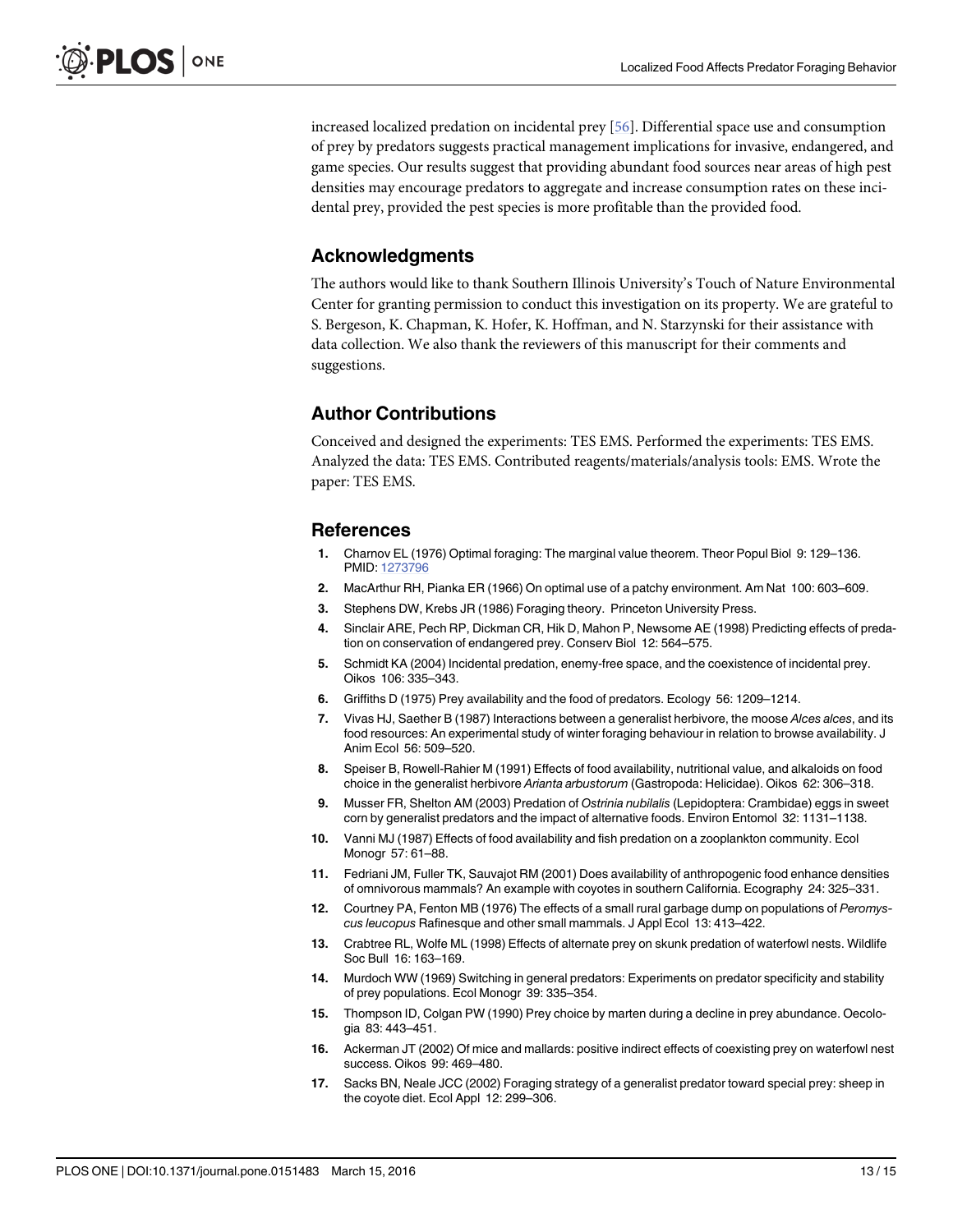<span id="page-13-0"></span>increased localized predation on incidental prey [\[56\]](#page-15-0). Differential space use and consumption of prey by predators suggests practical management implications for invasive, endangered, and game species. Our results suggest that providing abundant food sources near areas of high pest densities may encourage predators to aggregate and increase consumption rates on these incidental prey, provided the pest species is more profitable than the provided food.

#### Acknowledgments

The authors would like to thank Southern Illinois University's Touch of Nature Environmental Center for granting permission to conduct this investigation on its property. We are grateful to S. Bergeson, K. Chapman, K. Hofer, K. Hoffman, and N. Starzynski for their assistance with data collection. We also thank the reviewers of this manuscript for their comments and suggestions.

### Author Contributions

Conceived and designed the experiments: TES EMS. Performed the experiments: TES EMS. Analyzed the data: TES EMS. Contributed reagents/materials/analysis tools: EMS. Wrote the paper: TES EMS.

#### References

- [1.](#page-2-0) Charnov EL (1976) Optimal foraging: The marginal value theorem. Theor Popul Biol 9: 129–136. PMID: [1273796](http://www.ncbi.nlm.nih.gov/pubmed/1273796)
- [2.](#page-2-0) MacArthur RH, Pianka ER (1966) On optimal use of a patchy environment. Am Nat 100: 603–609.
- [3.](#page-2-0) Stephens DW, Krebs JR (1986) Foraging theory. Princeton University Press.
- [4.](#page-2-0) Sinclair ARE, Pech RP, Dickman CR, Hik D, Mahon P, Newsome AE (1998) Predicting effects of predation on conservation of endangered prey. Conserv Biol 12: 564–575.
- [5.](#page-2-0) Schmidt KA (2004) Incidental predation, enemy-free space, and the coexistence of incidental prey. Oikos 106: 335–343.
- [6.](#page-2-0) Griffiths D (1975) Prey availability and the food of predators. Ecology 56: 1209–1214.
- 7. Vivas HJ, Saether B (1987) Interactions between a generalist herbivore, the moose Alces alces, and its food resources: An experimental study of winter foraging behaviour in relation to browse availability. J Anim Ecol 56: 509–520.
- 8. Speiser B, Rowell-Rahier M (1991) Effects of food availability, nutritional value, and alkaloids on food choice in the generalist herbivore Arianta arbustorum (Gastropoda: Helicidae). Oikos 62: 306–318.
- [9.](#page-2-0) Musser FR, Shelton AM (2003) Predation of Ostrinia nubilalis (Lepidoptera: Crambidae) eggs in sweet corn by generalist predators and the impact of alternative foods. Environ Entomol 32: 1131–1138.
- [10.](#page-2-0) Vanni MJ (1987) Effects of food availability and fish predation on a zooplankton community. Ecol Monogr 57: 61–88.
- [11.](#page-2-0) Fedriani JM, Fuller TK, Sauvajot RM (2001) Does availability of anthropogenic food enhance densities of omnivorous mammals? An example with coyotes in southern California. Ecography 24: 325–331.
- [12.](#page-2-0) Courtney PA, Fenton MB (1976) The effects of a small rural garbage dump on populations of Peromyscus leucopus Rafinesque and other small mammals. J Appl Ecol 13: 413–422.
- [13.](#page-2-0) Crabtree RL, Wolfe ML (1998) Effects of alternate prey on skunk predation of waterfowl nests. Wildlife Soc Bull 16: 163–169.
- [14.](#page-2-0) Murdoch WW (1969) Switching in general predators: Experiments on predator specificity and stability of prey populations. Ecol Monogr 39: 335–354.
- 15. Thompson ID, Colgan PW (1990) Prey choice by marten during a decline in prey abundance. Oecologia 83: 443–451.
- 16. Ackerman JT (2002) Of mice and mallards: positive indirect effects of coexisting prey on waterfowl nest success. Oikos 99: 469–480.
- 17. Sacks BN, Neale JCC (2002) Foraging strategy of a generalist predator toward special prey: sheep in the coyote diet. Ecol Appl 12: 299–306.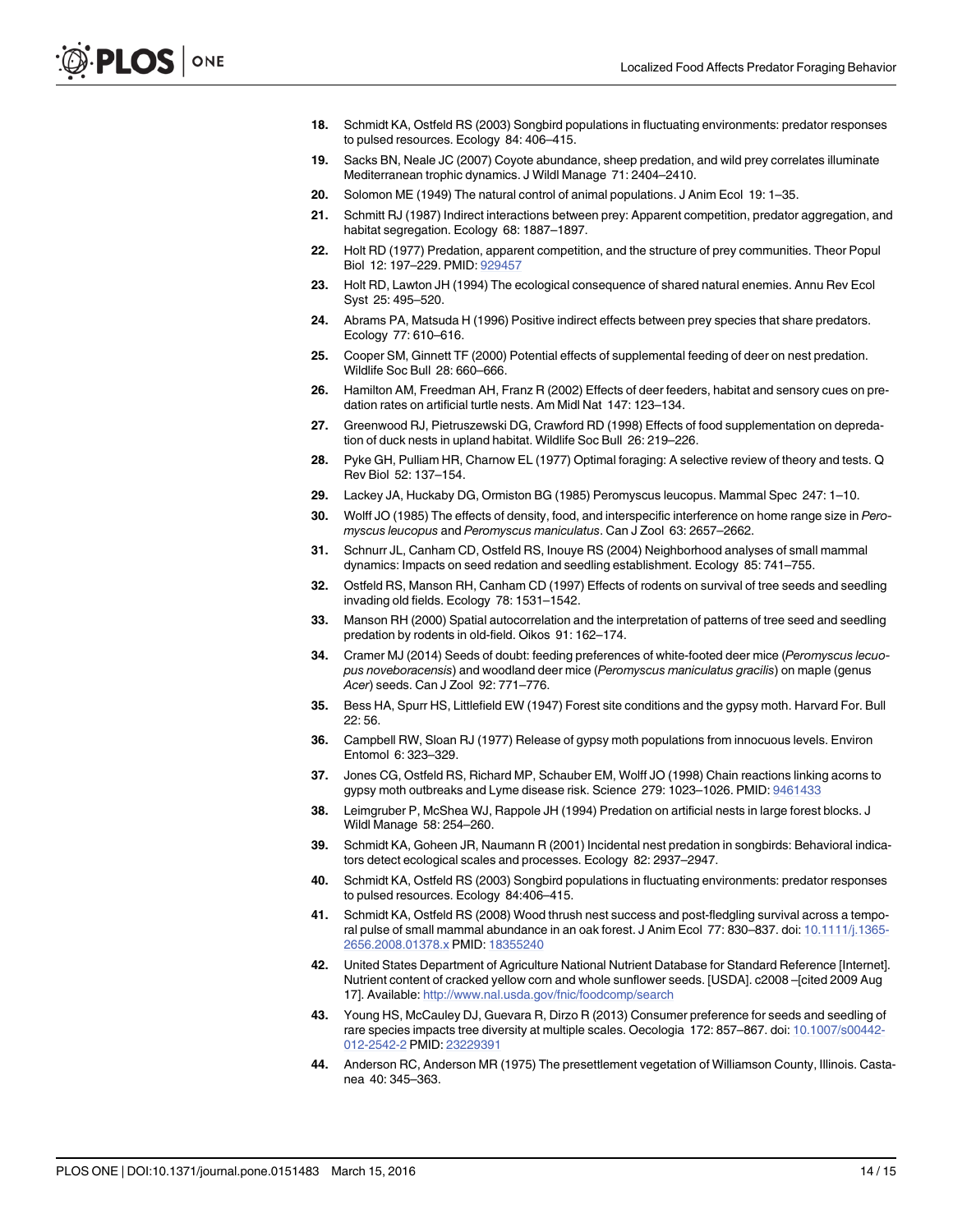- <span id="page-14-0"></span>[18.](#page-2-0) Schmidt KA, Ostfeld RS (2003) Songbird populations in fluctuating environments: predator responses to pulsed resources. Ecology 84: 406–415.
- [19.](#page-2-0) Sacks BN, Neale JC (2007) Coyote abundance, sheep predation, and wild prey correlates illuminate Mediterranean trophic dynamics. J Wildl Manage 71: 2404–2410.
- [20.](#page-2-0) Solomon ME (1949) The natural control of animal populations. J Anim Ecol 19: 1–35.
- [21.](#page-2-0) Schmitt RJ (1987) Indirect interactions between prey: Apparent competition, predator aggregation, and habitat segregation. Ecology 68: 1887–1897.
- [22.](#page-2-0) Holt RD (1977) Predation, apparent competition, and the structure of prey communities. Theor Popul Biol 12: 197–229. PMID: [929457](http://www.ncbi.nlm.nih.gov/pubmed/929457)
- 23. Holt RD, Lawton JH (1994) The ecological consequence of shared natural enemies. Annu Rev Ecol Syst 25: 495–520.
- [24.](#page-2-0) Abrams PA, Matsuda H (1996) Positive indirect effects between prey species that share predators. Ecology 77: 610–616.
- [25.](#page-2-0) Cooper SM, Ginnett TF (2000) Potential effects of supplemental feeding of deer on nest predation. Wildlife Soc Bull 28: 660–666.
- [26.](#page-2-0) Hamilton AM, Freedman AH, Franz R (2002) Effects of deer feeders, habitat and sensory cues on predation rates on artificial turtle nests. Am Midl Nat 147: 123–134.
- [27.](#page-2-0) Greenwood RJ, Pietruszewski DG, Crawford RD (1998) Effects of food supplementation on depredation of duck nests in upland habitat. Wildlife Soc Bull 26: 219–226.
- [28.](#page-2-0) Pyke GH, Pulliam HR, Charnow EL (1977) Optimal foraging: A selective review of theory and tests. Q Rev Biol 52: 137–154.
- [29.](#page-2-0) Lackey JA, Huckaby DG, Ormiston BG (1985) Peromyscus leucopus. Mammal Spec 247: 1–10.
- [30.](#page-2-0) Wolff JO (1985) The effects of density, food, and interspecific interference on home range size in Peromyscus leucopus and Peromyscus maniculatus. Can J Zool 63: 2657–2662.
- [31.](#page-2-0) Schnurr JL, Canham CD, Ostfeld RS, Inouye RS (2004) Neighborhood analyses of small mammal dynamics: Impacts on seed redation and seedling establishment. Ecology 85: 741–755.
- [32.](#page-2-0) Ostfeld RS, Manson RH, Canham CD (1997) Effects of rodents on survival of tree seeds and seedling invading old fields. Ecology 78: 1531–1542.
- 33. Manson RH (2000) Spatial autocorrelation and the interpretation of patterns of tree seed and seedling predation by rodents in old-field. Oikos 91: 162–174.
- [34.](#page-2-0) Cramer MJ (2014) Seeds of doubt: feeding preferences of white-footed deer mice (Peromyscus lecuopus noveboracensis) and woodland deer mice (Peromyscus maniculatus gracilis) on maple (genus Acer) seeds. Can J Zool 92: 771–776.
- [35.](#page-2-0) Bess HA, Spurr HS, Littlefield EW (1947) Forest site conditions and the gypsy moth. Harvard For. Bull 22: 56.
- 36. Campbell RW, Sloan RJ (1977) Release of gypsy moth populations from innocuous levels. Environ Entomol 6: 323–329.
- [37.](#page-2-0) Jones CG, Ostfeld RS, Richard MP, Schauber EM, Wolff JO (1998) Chain reactions linking acorns to gypsy moth outbreaks and Lyme disease risk. Science 279: 1023–1026. PMID: [9461433](http://www.ncbi.nlm.nih.gov/pubmed/9461433)
- [38.](#page-2-0) Leimgruber P, McShea WJ, Rappole JH (1994) Predation on artificial nests in large forest blocks. J Wildl Manage 58: 254–260.
- [39.](#page-12-0) Schmidt KA, Goheen JR, Naumann R (2001) Incidental nest predation in songbirds: Behavioral indicators detect ecological scales and processes. Ecology 82: 2937–2947.
- [40.](#page-2-0) Schmidt KA, Ostfeld RS (2003) Songbird populations in fluctuating environments: predator responses to pulsed resources. Ecology 84:406–415.
- [41.](#page-2-0) Schmidt KA, Ostfeld RS (2008) Wood thrush nest success and post-fledgling survival across a tempo-ral pulse of small mammal abundance in an oak forest. J Anim Ecol 77: 830-837. doi: [10.1111/j.1365-](http://dx.doi.org/10.1111/j.1365-2656.2008.01378.x) [2656.2008.01378.x](http://dx.doi.org/10.1111/j.1365-2656.2008.01378.x) PMID: [18355240](http://www.ncbi.nlm.nih.gov/pubmed/18355240)
- [42.](#page-3-0) United States Department of Agriculture National Nutrient Database for Standard Reference [Internet]. Nutrient content of cracked yellow corn and whole sunflower seeds. [USDA]. c2008 –[cited 2009 Aug 17]. Available: <http://www.nal.usda.gov/fnic/foodcomp/search>
- [43.](#page-3-0) Young HS, McCauley DJ, Guevara R, Dirzo R (2013) Consumer preference for seeds and seedling of rare species impacts tree diversity at multiple scales. Oecologia 172: 857–867. doi: [10.1007/s00442-](http://dx.doi.org/10.1007/s00442-012-2542-2) [012-2542-2](http://dx.doi.org/10.1007/s00442-012-2542-2) PMID: [23229391](http://www.ncbi.nlm.nih.gov/pubmed/23229391)
- [44.](#page-3-0) Anderson RC, Anderson MR (1975) The presettlement vegetation of Williamson County, Illinois. Castanea 40: 345–363.